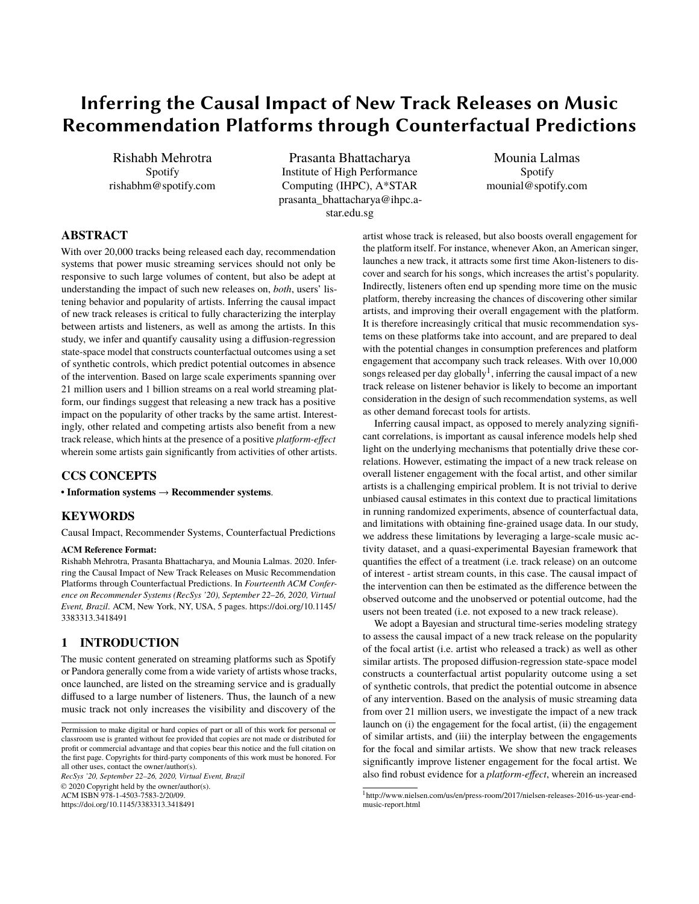# Inferring the Causal Impact of New Track Releases on Music Recommendation Platforms through Counterfactual Predictions

Rishabh Mehrotra Spotify rishabhm@spotify.com

Prasanta Bhattacharya Institute of High Performance Computing (IHPC), A\*STAR prasanta\_bhattacharya@ihpc.astar.edu.sg

Mounia Lalmas Spotify mounial@spotify.com

## **ABSTRACT**

With over 20,000 tracks being released each day, recommendation systems that power music streaming services should not only be responsive to such large volumes of content, but also be adept at understanding the impact of such new releases on, *both*, users' listening behavior and popularity of artists. Inferring the causal impact of new track releases is critical to fully characterizing the interplay between artists and listeners, as well as among the artists. In this study, we infer and quantify causality using a diffusion-regression state-space model that constructs counterfactual outcomes using a set of synthetic controls, which predict potential outcomes in absence of the intervention. Based on large scale experiments spanning over 21 million users and 1 billion streams on a real world streaming platform, our findings suggest that releasing a new track has a positive impact on the popularity of other tracks by the same artist. Interestingly, other related and competing artists also benefit from a new track release, which hints at the presence of a positive *platform-effect* wherein some artists gain significantly from activities of other artists.

### **CCS CONCEPTS**

• **Information systems** → **Recommender systems**.

## **KEYWORDS**

Causal Impact, Recommender Systems, Counterfactual Predictions

#### **ACM Reference Format:**

Rishabh Mehrotra, Prasanta Bhattacharya, and Mounia Lalmas. 2020. Inferring the Causal Impact of New Track Releases on Music Recommendation Platforms through Counterfactual Predictions. In *Fourteenth ACM Conference on Recommender Systems (RecSys '20), September 22–26, 2020, Virtual Event, Brazil.* ACM, New York, NY, USA, [5](#page-4-0) pages. [https://doi.org/10.1145/](https://doi.org/10.1145/3383313.3418491) [3383313.3418491](https://doi.org/10.1145/3383313.3418491)

## **1 INTRODUCTION**

The music content generated on streaming platforms such as Spotify or Pandora generally come from a wide variety of artists whose tracks, once launched, are listed on the streaming service and is gradually diffused to a large number of listeners. Thus, the launch of a new music track not only increases the visibility and discovery of the

*RecSys '20, September 22–26, 2020, Virtual Event, Brazil* © 2020 Copyright held by the owner/author(s). ACM ISBN 978-1-4503-7583-2/20/09. <https://doi.org/10.1145/3383313.3418491>

artist whose track is released, but also boosts overall engagement for the platform itself. For instance, whenever Akon, an American singer, launches a new track, it attracts some first time Akon-listeners to discover and search for his songs, which increases the artist's popularity. Indirectly, listeners often end up spending more time on the music platform, thereby increasing the chances of discovering other similar artists, and improving their overall engagement with the platform. It is therefore increasingly critical that music recommendation systems on these platforms take into account, and are prepared to deal with the potential changes in consumption preferences and platform engagement that accompany such track releases. With over 10,000 songs released per day globally<sup>[1](#page-0-0)</sup>, inferring the causal impact of a new track release on listener behavior is likely to become an important consideration in the design of such recommendation systems, as well as other demand forecast tools for artists.

Inferring causal impact, as opposed to merely analyzing significant correlations, is important as causal inference models help shed light on the underlying mechanisms that potentially drive these correlations. However, estimating the impact of a new track release on overall listener engagement with the focal artist, and other similar artists is a challenging empirical problem. It is not trivial to derive unbiased causal estimates in this context due to practical limitations in running randomized experiments, absence of counterfactual data, and limitations with obtaining fine-grained usage data. In our study, we address these limitations by leveraging a large-scale music activity dataset, and a quasi-experimental Bayesian framework that quantifies the effect of a treatment (i.e. track release) on an outcome of interest - artist stream counts, in this case. The causal impact of the intervention can then be estimated as the difference between the observed outcome and the unobserved or potential outcome, had the users not been treated (i.e. not exposed to a new track release).

We adopt a Bayesian and structural time-series modeling strategy to assess the causal impact of a new track release on the popularity of the focal artist (i.e. artist who released a track) as well as other similar artists. The proposed diffusion-regression state-space model constructs a counterfactual artist popularity outcome using a set of synthetic controls, that predict the potential outcome in absence of any intervention. Based on the analysis of music streaming data from over 21 million users, we investigate the impact of a new track launch on (i) the engagement for the focal artist, (ii) the engagement of similar artists, and (iii) the interplay between the engagements for the focal and similar artists. We show that new track releases significantly improve listener engagement for the focal artist. We also find robust evidence for a *platform-effect*, wherein an increased

Permission to make digital or hard copies of part or all of this work for personal or classroom use is granted without fee provided that copies are not made or distributed for profit or commercial advantage and that copies bear this notice and the full citation on the first page. Copyrights for third-party components of this work must be honored. For all other uses, contact the owner/author(s).

<span id="page-0-0"></span><sup>1</sup> http://www.nielsen.com/us/en/press-room/2017/nielsen-releases-2016-us-year-endmusic-report.html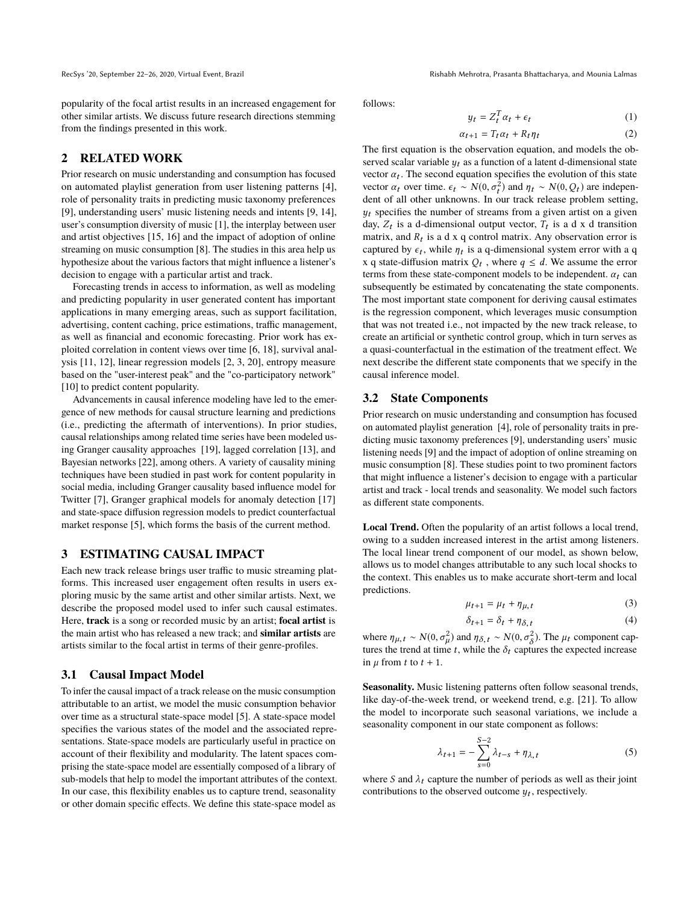RecSys '20, September 22-26, 2020, Virtual Event, Brazil Rishabh Mehrotra, Prasanta Bhattacharya, and Mounia Lalmas

popularity of the focal artist results in an increased engagement for other similar artists. We discuss future research directions stemming from the findings presented in this work.

## **2 RELATED WORK**

Prior research on music understanding and consumption has focused on automated playlist generation from user listening patterns [\[4\]](#page-4-1), role of personality traits in predicting music taxonomy preferences [\[9\]](#page-4-2), understanding users' music listening needs and intents [\[9,](#page-4-2) [14\]](#page-4-3), user's consumption diversity of music [\[1\]](#page-4-4), the interplay between user and artist objectives [\[15,](#page-4-5) [16\]](#page-4-6) and the impact of adoption of online streaming on music consumption [\[8\]](#page-4-7). The studies in this area help us hypothesize about the various factors that might influence a listener's decision to engage with a particular artist and track.

Forecasting trends in access to information, as well as modeling and predicting popularity in user generated content has important applications in many emerging areas, such as support facilitation, advertising, content caching, price estimations, traffic management, as well as financial and economic forecasting. Prior work has exploited correlation in content views over time [\[6,](#page-4-8) [18\]](#page-4-9), survival analysis [\[11,](#page-4-10) [12\]](#page-4-11), linear regression models [\[2,](#page-4-12) [3,](#page-4-13) [20\]](#page-4-14), entropy measure based on the "user-interest peak" and the "co-participatory network" [\[10\]](#page-4-15) to predict content popularity.

Advancements in causal inference modeling have led to the emergence of new methods for causal structure learning and predictions (i.e., predicting the aftermath of interventions). In prior studies, causal relationships among related time series have been modeled using Granger causality approaches [\[19\]](#page-4-16), lagged correlation [\[13\]](#page-4-17), and Bayesian networks [\[22\]](#page-4-18), among others. A variety of causality mining techniques have been studied in past work for content popularity in social media, including Granger causality based influence model for Twitter [\[7\]](#page-4-19), Granger graphical models for anomaly detection [\[17\]](#page-4-20) and state-space diffusion regression models to predict counterfactual market response [\[5\]](#page-4-21), which forms the basis of the current method.

#### **3 ESTIMATING CAUSAL IMPACT**

Each new track release brings user traffic to music streaming platforms. This increased user engagement often results in users exploring music by the same artist and other similar artists. Next, we describe the proposed model used to infer such causal estimates. Here, **track** is a song or recorded music by an artist; **focal artist** is the main artist who has released a new track; and **similar artists** are artists similar to the focal artist in terms of their genre-profiles.

#### **3.1 Causal Impact Model**

To infer the causal impact of a track release on the music consumption attributable to an artist, we model the music consumption behavior over time as a structural state-space model [\[5\]](#page-4-21). A state-space model specifies the various states of the model and the associated representations. State-space models are particularly useful in practice on account of their flexibility and modularity. The latent spaces comprising the state-space model are essentially composed of a library of sub-models that help to model the important attributes of the context. In our case, this flexibility enables us to capture trend, seasonality or other domain specific effects. We define this state-space model as

follows:

$$
y_t = Z_t^T \alpha_t + \epsilon_t \tag{1}
$$

$$
\alpha_{t+1} = T_t \alpha_t + R_t \eta_t \tag{2}
$$

 $\alpha_{t+1} = T_t \alpha_t + R_t \eta_t$  (2)<br>The first equation is the observation equation, and models the observed scalar variable  $y_t$  as a function of a latent d-dimensional state vector  $\alpha_t$ . The second equation specifies the evolution of this state<br>vector  $\alpha_t$  over time  $\beta_t \propto N(0, \sigma^2)$  and  $n_t \propto N(0, \Omega_t)$  are independent vector  $\alpha_t$  over time.  $\epsilon_t \sim N(0, \sigma_t^2)$  and  $\eta_t \sim N(0, Q_t)$  are independent of all other unknowns. In our track release problem setting dent of all other unknowns. In our track release problem setting,  $y_t$  specifies the number of streams from a given artist on a given day,  $Z_t$  is a d-dimensional output vector,  $T_t$  is a d x d transition<br>matrix and  $R_t$  is a d x a control matrix. Any observation error is matrix, and  $R_t$  is a d x q control matrix. Any observation error is<br>contured by  $\epsilon_1$ , while n, is a q dimensional system error with a q captured by  $\epsilon_t$ , while  $\eta_t$  is a q-dimensional system error with a q<br>x a state diffusion matrix  $\Omega_t$ , where  $\alpha \leq d$ . We assume the error x q state-diffusion matrix  $Q_t$ , where  $q \leq d$ . We assume the error terms from these state component models to be independent  $\alpha$ , can terms from these state-component models to be independent.  $\alpha_t$  can subsequently be estimated by concatenating the state components. The most important state component for deriving causal estimates is the regression component, which leverages music consumption that was not treated i.e., not impacted by the new track release, to create an artificial or synthetic control group, which in turn serves as a quasi-counterfactual in the estimation of the treatment effect. We next describe the different state components that we specify in the causal inference model.

#### **3.2 State Components**

Prior research on music understanding and consumption has focused on automated playlist generation [\[4\]](#page-4-1), role of personality traits in predicting music taxonomy preferences [\[9\]](#page-4-2), understanding users' music listening needs [\[9\]](#page-4-2) and the impact of adoption of online streaming on music consumption [\[8\]](#page-4-7). These studies point to two prominent factors that might influence a listener's decision to engage with a particular artist and track - local trends and seasonality. We model such factors as different state components.

**Local Trend.** Often the popularity of an artist follows a local trend, owing to a sudden increased interest in the artist among listeners. The local linear trend component of our model, as shown below, allows us to model changes attributable to any such local shocks to the context. This enables us to make accurate short-term and local predictions.

$$
\mu_{t+1} = \mu_t + \eta_{\mu,t} \tag{3}
$$

$$
\delta_{t+1} = \delta_t + \eta_{\delta, t} \tag{4}
$$

where  $\eta_{\mu, t} \sim N(0, \sigma_{\mu}^2)$  and  $\eta_{\delta, t} \sim N(0, \sigma_{\delta}^2)$ . The  $\mu_t$  component captures the trend at time t while the  $\delta$ , captures the expected increase tures the trend at time t, while the  $\delta_t$  captures the expected increase in  $\mu$  from t to  $t + 1$ .

**Seasonality.** Music listening patterns often follow seasonal trends, like day-of-the-week trend, or weekend trend, e.g. [\[21\]](#page-4-22). To allow the model to incorporate such seasonal variations, we include a seasonality component in our state component as follows:

$$
\lambda_{t+1} = -\sum_{s=0}^{S-2} \lambda_{t-s} + \eta_{\lambda, t} \tag{5}
$$

where S and  $\lambda_t$  capture the number of periods as well as their joint contributions to the observed outcome  $u_t$ , respectively. contributions to the observed outcome  $y_t$ , respectively.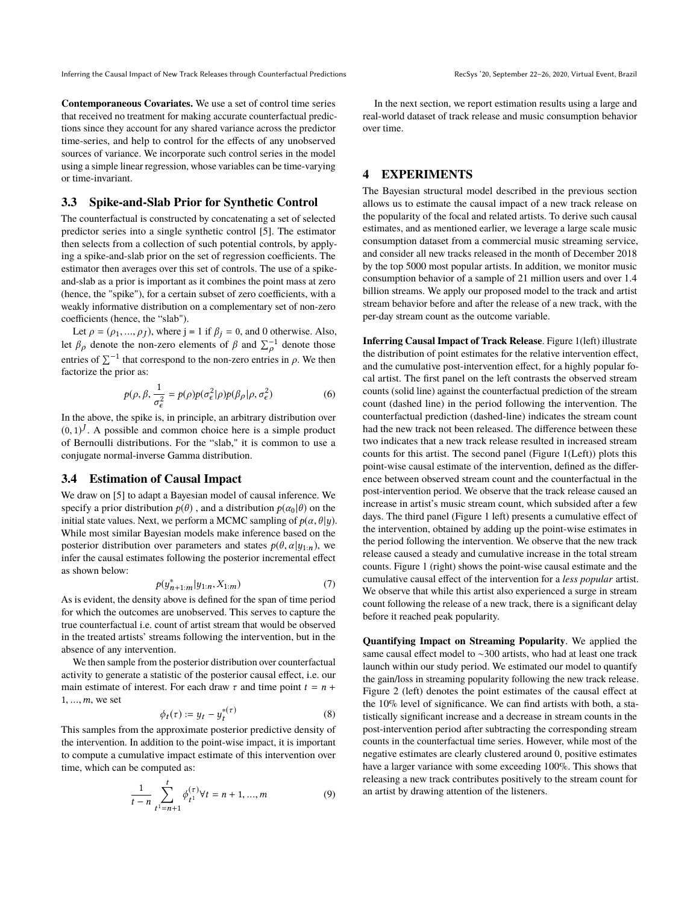Inferring the Causal Impact of New Track Releases through Counterfactual Predictions RecSys '20, September 22-26, 2020, Virtual Event, Brazil

**Contemporaneous Covariates.** We use a set of control time series that received no treatment for making accurate counterfactual predictions since they account for any shared variance across the predictor time-series, and help to control for the effects of any unobserved sources of variance. We incorporate such control series in the model using a simple linear regression, whose variables can be time-varying or time-invariant.

#### **3.3 Spike-and-Slab Prior for Synthetic Control**

The counterfactual is constructed by concatenating a set of selected predictor series into a single synthetic control [\[5\]](#page-4-21). The estimator then selects from a collection of such potential controls, by applying a spike-and-slab prior on the set of regression coefficients. The estimator then averages over this set of controls. The use of a spikeand-slab as a prior is important as it combines the point mass at zero (hence, the "spike"), for a certain subset of zero coefficients, with a weakly informative distribution on a complementary set of non-zero coefficients (hence, the "slab").

Let  $\rho = (\rho_1, ..., \rho_J)$ , where  $j = 1$  if  $\beta_j = 0$ , and 0 otherwise. Also, let  $\beta_p$  denote the non-zero elements of  $\beta$  and  $\sum_{i=1}^{-1}$  denote those entries of  $\sum^{-1}$  that correspond to the non-zero entries in  $\rho$ . We then factorize the prior as:

$$
p(\rho, \beta, \frac{1}{\sigma_{\epsilon}^2} = p(\rho)p(\sigma_{\epsilon}^2|\rho)p(\beta_{\rho}|\rho, \sigma_{\epsilon}^2)
$$
 (6)

In the above, the spike is, in principle, an arbitrary distribution over  $(0, 1)^J$ . A possible and common choice here is a simple product of Bernoulli distributions. For the "slab" it is common to use a of Bernoulli distributions. For the "slab," it is common to use a conjugate normal-inverse Gamma distribution.

## **3.4 Estimation of Causal Impact**

We draw on [\[5\]](#page-4-21) to adapt a Bayesian model of causal inference. We specify a prior distribution  $p(\theta)$ , and a distribution  $p(\alpha_0 | \theta)$  on the initial state values. Next, we perform a MCMC sampling of  $p(\alpha, \theta | y)$ . While most similar Bayesian models make inference based on the posterior distribution over parameters and states  $p(\theta, \alpha | y_{1:n})$ , we infer the causal estimates following the posterior incremental effect as shown below:

$$
p(y_{n+1:m}^* | y_{1:n}, X_{1:m}) \tag{7}
$$

 $p(y_{n+1:m}^* | y_{1:n}, X_{1:m})$  (7)<br>As is evident, the density above is defined for the span of time period for which the outcomes are unobserved. This serves to capture the true counterfactual i.e. count of artist stream that would be observed in the treated artists' streams following the intervention, but in the absence of any intervention.

We then sample from the posterior distribution over counterfactual activity to generate a statistic of the posterior causal effect, i.e. our main estimate of interest. For each draw  $\tau$  and time point  $t = n +$  $1, \ldots, m$ , we set

$$
\phi_t(\tau) := y_t - y_t^{*(\tau)} \tag{8}
$$

 $\phi_t(\tau) := y_t - y_t^{*(\tau)}$  (8)<br>This samples from the approximate posterior predictive density of the intervention. In addition to the point-wise impact, it is important to compute a cumulative impact estimate of this intervention over time, which can be computed as:

$$
\frac{1}{t-n} \sum_{t=1}^{t} \phi_{t}^{(\tau)} \forall t = n+1, ..., m
$$
 (9)

In the next section, we report estimation results using a large and real-world dataset of track release and music consumption behavior over time.

### **4 EXPERIMENTS**

The Bayesian structural model described in the previous section allows us to estimate the causal impact of a new track release on the popularity of the focal and related artists. To derive such causal estimates, and as mentioned earlier, we leverage a large scale music consumption dataset from a commercial music streaming service, and consider all new tracks released in the month of December 2018 by the top 5000 most popular artists. In addition, we monitor music consumption behavior of a sample of 21 million users and over 1.4 billion streams. We apply our proposed model to the track and artist stream behavior before and after the release of a new track, with the per-day stream count as the outcome variable.

**Inferring Causal Impact of Track Release**. Figure [1\(](#page-3-0)left) illustrate the distribution of point estimates for the relative intervention effect, and the cumulative post-intervention effect, for a highly popular focal artist. The first panel on the left contrasts the observed stream counts (solid line) against the counterfactual prediction of the stream count (dashed line) in the period following the intervention. The counterfactual prediction (dashed-line) indicates the stream count had the new track not been released. The difference between these two indicates that a new track release resulted in increased stream counts for this artist. The second panel (Figure [1\(](#page-3-0)Left)) plots this point-wise causal estimate of the intervention, defined as the difference between observed stream count and the counterfactual in the post-intervention period. We observe that the track release caused an increase in artist's music stream count, which subsided after a few days. The third panel (Figure [1](#page-3-0) left) presents a cumulative effect of the intervention, obtained by adding up the point-wise estimates in the period following the intervention. We observe that the new track release caused a steady and cumulative increase in the total stream counts. Figure [1](#page-3-0) (right) shows the point-wise causal estimate and the cumulative causal effect of the intervention for a *less popular* artist. We observe that while this artist also experienced a surge in stream count following the release of a new track, there is a significant delay before it reached peak popularity.

**Quantifying Impact on Streaming Popularity**. We applied the same causal effect model to ∼300 artists, who had at least one track launch within our study period. We estimated our model to quantify the gain/loss in streaming popularity following the new track release. Figure [2](#page-3-1) (left) denotes the point estimates of the causal effect at the 10% level of significance. We can find artists with both, a statistically significant increase and a decrease in stream counts in the post-intervention period after subtracting the corresponding stream counts in the counterfactual time series. However, while most of the negative estimates are clearly clustered around 0, positive estimates have a larger variance with some exceeding 100%. This shows that releasing a new track contributes positively to the stream count for an artist by drawing attention of the listeners.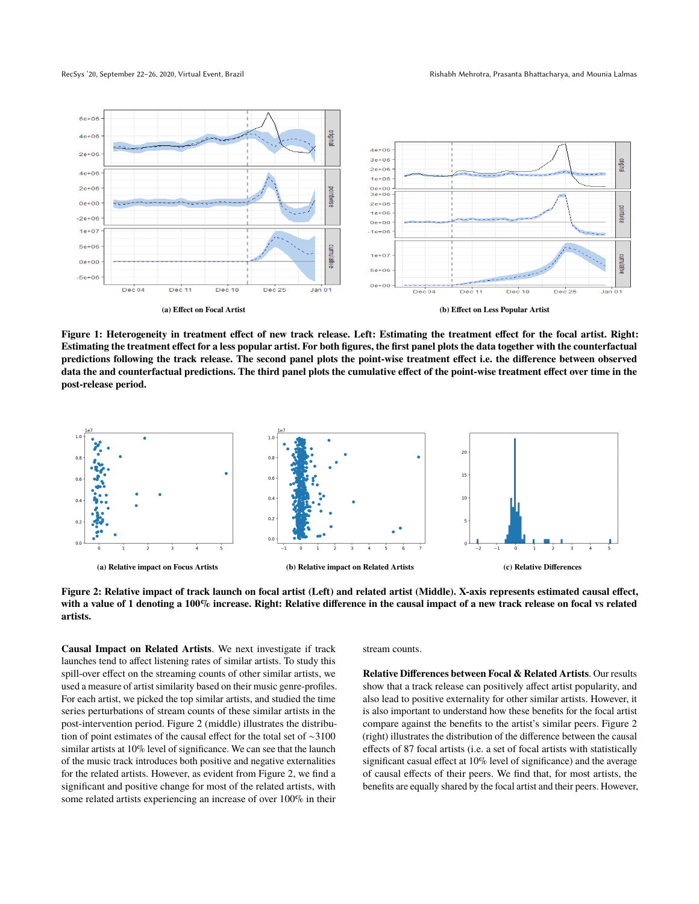RecSys '20, September 22-26, 2020, Virtual Event, Brazil Rishabh Mehrotra, Prasanta Bhattacharya, and Mounia Lalmas

<span id="page-3-0"></span>

**Figure 1: Heterogeneity in treatment effect of new track release. Left: Estimating the treatment effect for the focal artist. Right: Estimating the treatment effect for a less popular artist. For both figures, the first panel plots the data together with the counterfactual predictions following the track release. The second panel plots the point-wise treatment effect i.e. the difference between observed data the and counterfactual predictions. The third panel plots the cumulative effect of the point-wise treatment effect over time in the post-release period.**

<span id="page-3-1"></span>

**Figure 2: Relative impact of track launch on focal artist (Left) and related artist (Middle). X-axis represents estimated causal effect, with a value of 1 denoting a 100% increase. Right: Relative difference in the causal impact of a new track release on focal vs related artists.**

**Causal Impact on Related Artists**. We next investigate if track launches tend to affect listening rates of similar artists. To study this spill-over effect on the streaming counts of other similar artists, we used a measure of artist similarity based on their music genre-profiles. For each artist, we picked the top similar artists, and studied the time series perturbations of stream counts of these similar artists in the post-intervention period. Figure [2](#page-3-1) (middle) illustrates the distribution of point estimates of the causal effect for the total set of ∼3100 similar artists at 10% level of significance. We can see that the launch of the music track introduces both positive and negative externalities for the related artists. However, as evident from Figure [2,](#page-3-1) we find a significant and positive change for most of the related artists, with some related artists experiencing an increase of over 100% in their

stream counts.

**Relative Differences between Focal & Related Artists**. Our results show that a track release can positively affect artist popularity, and also lead to positive externality for other similar artists. However, it is also important to understand how these benefits for the focal artist compare against the benefits to the artist's similar peers. Figure [2](#page-3-1) (right) illustrates the distribution of the difference between the causal effects of 87 focal artists (i.e. a set of focal artists with statistically significant casual effect at 10% level of significance) and the average of causal effects of their peers. We find that, for most artists, the benefits are equally shared by the focal artist and their peers. However,